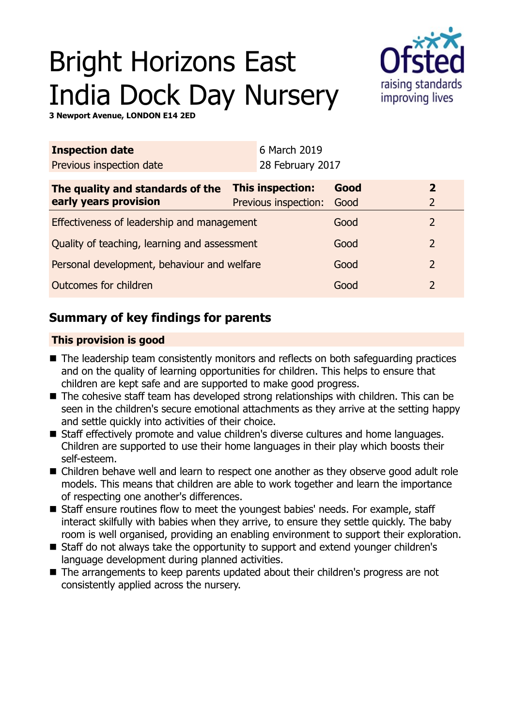# Bright Horizons East India Dock Day Nursery



**3 Newport Avenue, LONDON E14 2ED**

| <b>Inspection date</b>                       |                  | 6 March 2019         |                |                |  |
|----------------------------------------------|------------------|----------------------|----------------|----------------|--|
| Previous inspection date                     |                  | 28 February 2017     |                |                |  |
| The quality and standards of the             | This inspection: |                      | Good           | $\overline{2}$ |  |
| early years provision                        |                  | Previous inspection: | Good           | $\overline{2}$ |  |
| Effectiveness of leadership and management   |                  |                      | Good           | 2              |  |
| Quality of teaching, learning and assessment |                  |                      | Good           | $\overline{2}$ |  |
| Personal development, behaviour and welfare  |                  | Good                 | $\overline{2}$ |                |  |
| Outcomes for children                        |                  |                      | Good           | $\overline{2}$ |  |

## **Summary of key findings for parents**

## **This provision is good**

- The leadership team consistently monitors and reflects on both safeguarding practices and on the quality of learning opportunities for children. This helps to ensure that children are kept safe and are supported to make good progress.
- The cohesive staff team has developed strong relationships with children. This can be seen in the children's secure emotional attachments as they arrive at the setting happy and settle quickly into activities of their choice.
- Staff effectively promote and value children's diverse cultures and home languages. Children are supported to use their home languages in their play which boosts their self-esteem.
- Children behave well and learn to respect one another as they observe good adult role models. This means that children are able to work together and learn the importance of respecting one another's differences.
- Staff ensure routines flow to meet the youngest babies' needs. For example, staff interact skilfully with babies when they arrive, to ensure they settle quickly. The baby room is well organised, providing an enabling environment to support their exploration.
- Staff do not always take the opportunity to support and extend younger children's language development during planned activities.
- The arrangements to keep parents updated about their children's progress are not consistently applied across the nursery.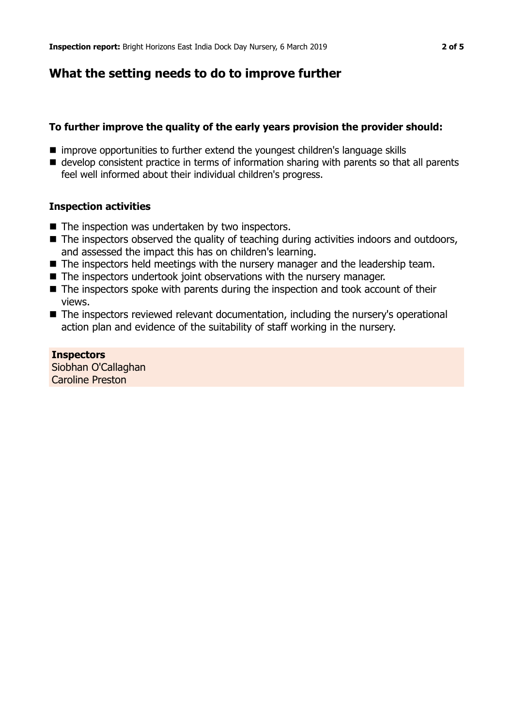## **What the setting needs to do to improve further**

## **To further improve the quality of the early years provision the provider should:**

- improve opportunities to further extend the youngest children's language skills
- develop consistent practice in terms of information sharing with parents so that all parents feel well informed about their individual children's progress.

## **Inspection activities**

- $\blacksquare$  The inspection was undertaken by two inspectors.
- $\blacksquare$  The inspectors observed the quality of teaching during activities indoors and outdoors, and assessed the impact this has on children's learning.
- $\blacksquare$  The inspectors held meetings with the nursery manager and the leadership team.
- $\blacksquare$  The inspectors undertook joint observations with the nursery manager.
- $\blacksquare$  The inspectors spoke with parents during the inspection and took account of their views.
- The inspectors reviewed relevant documentation, including the nursery's operational action plan and evidence of the suitability of staff working in the nursery.

**Inspectors** Siobhan O'Callaghan Caroline Preston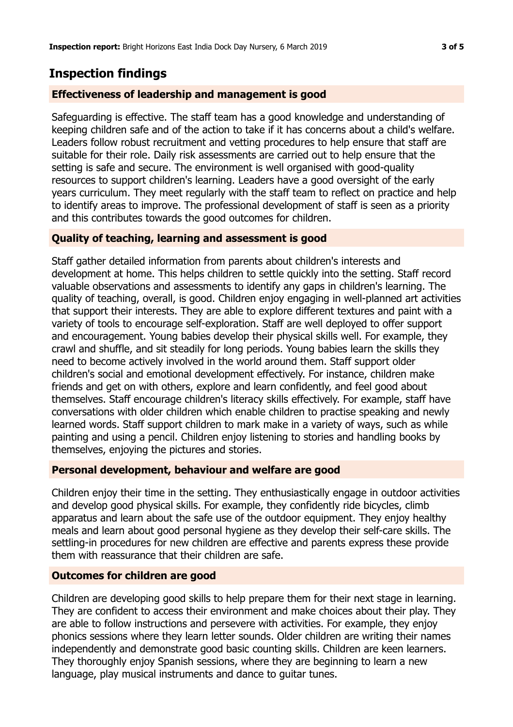## **Inspection findings**

## **Effectiveness of leadership and management is good**

Safeguarding is effective. The staff team has a good knowledge and understanding of keeping children safe and of the action to take if it has concerns about a child's welfare. Leaders follow robust recruitment and vetting procedures to help ensure that staff are suitable for their role. Daily risk assessments are carried out to help ensure that the setting is safe and secure. The environment is well organised with good-quality resources to support children's learning. Leaders have a good oversight of the early years curriculum. They meet regularly with the staff team to reflect on practice and help to identify areas to improve. The professional development of staff is seen as a priority and this contributes towards the good outcomes for children.

## **Quality of teaching, learning and assessment is good**

Staff gather detailed information from parents about children's interests and development at home. This helps children to settle quickly into the setting. Staff record valuable observations and assessments to identify any gaps in children's learning. The quality of teaching, overall, is good. Children enjoy engaging in well-planned art activities that support their interests. They are able to explore different textures and paint with a variety of tools to encourage self-exploration. Staff are well deployed to offer support and encouragement. Young babies develop their physical skills well. For example, they crawl and shuffle, and sit steadily for long periods. Young babies learn the skills they need to become actively involved in the world around them. Staff support older children's social and emotional development effectively. For instance, children make friends and get on with others, explore and learn confidently, and feel good about themselves. Staff encourage children's literacy skills effectively. For example, staff have conversations with older children which enable children to practise speaking and newly learned words. Staff support children to mark make in a variety of ways, such as while painting and using a pencil. Children enjoy listening to stories and handling books by themselves, enjoying the pictures and stories.

#### **Personal development, behaviour and welfare are good**

Children enjoy their time in the setting. They enthusiastically engage in outdoor activities and develop good physical skills. For example, they confidently ride bicycles, climb apparatus and learn about the safe use of the outdoor equipment. They enjoy healthy meals and learn about good personal hygiene as they develop their self-care skills. The settling-in procedures for new children are effective and parents express these provide them with reassurance that their children are safe.

#### **Outcomes for children are good**

Children are developing good skills to help prepare them for their next stage in learning. They are confident to access their environment and make choices about their play. They are able to follow instructions and persevere with activities. For example, they enjoy phonics sessions where they learn letter sounds. Older children are writing their names independently and demonstrate good basic counting skills. Children are keen learners. They thoroughly enjoy Spanish sessions, where they are beginning to learn a new language, play musical instruments and dance to guitar tunes.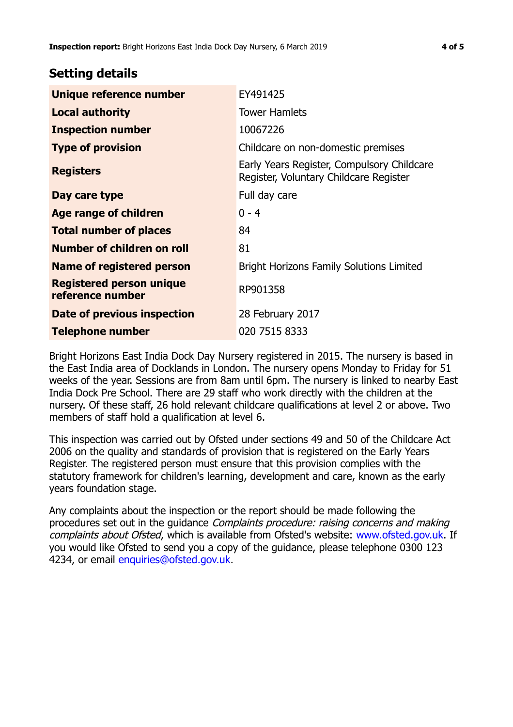## **Setting details**

| Unique reference number                             | EY491425                                                                             |  |
|-----------------------------------------------------|--------------------------------------------------------------------------------------|--|
| <b>Local authority</b>                              | <b>Tower Hamlets</b>                                                                 |  |
| <b>Inspection number</b>                            | 10067226                                                                             |  |
| <b>Type of provision</b>                            | Childcare on non-domestic premises                                                   |  |
| <b>Registers</b>                                    | Early Years Register, Compulsory Childcare<br>Register, Voluntary Childcare Register |  |
| Day care type                                       | Full day care                                                                        |  |
| <b>Age range of children</b>                        | $0 - 4$                                                                              |  |
| <b>Total number of places</b>                       | 84                                                                                   |  |
| Number of children on roll                          | 81                                                                                   |  |
| Name of registered person                           | <b>Bright Horizons Family Solutions Limited</b>                                      |  |
| <b>Registered person unique</b><br>reference number | RP901358                                                                             |  |
| Date of previous inspection                         | 28 February 2017                                                                     |  |
| <b>Telephone number</b>                             | 020 7515 8333                                                                        |  |

Bright Horizons East India Dock Day Nursery registered in 2015. The nursery is based in the East India area of Docklands in London. The nursery opens Monday to Friday for 51 weeks of the year. Sessions are from 8am until 6pm. The nursery is linked to nearby East India Dock Pre School. There are 29 staff who work directly with the children at the nursery. Of these staff, 26 hold relevant childcare qualifications at level 2 or above. Two members of staff hold a qualification at level 6.

This inspection was carried out by Ofsted under sections 49 and 50 of the Childcare Act 2006 on the quality and standards of provision that is registered on the Early Years Register. The registered person must ensure that this provision complies with the statutory framework for children's learning, development and care, known as the early years foundation stage.

Any complaints about the inspection or the report should be made following the procedures set out in the guidance Complaints procedure: raising concerns and making complaints about Ofsted, which is available from Ofsted's website: www.ofsted.gov.uk. If you would like Ofsted to send you a copy of the guidance, please telephone 0300 123 4234, or email [enquiries@ofsted.gov.uk.](mailto:enquiries@ofsted.gov.uk)